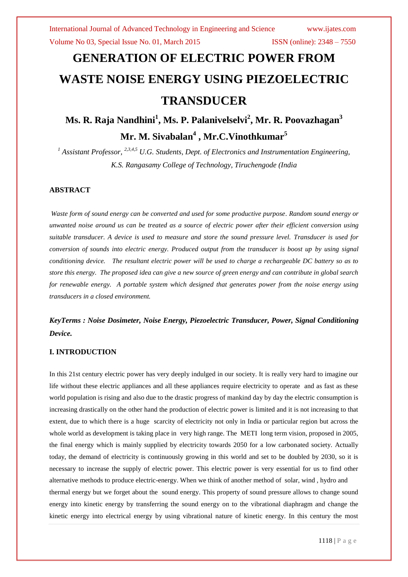# **GENERATION OF ELECTRIC POWER FROM WASTE NOISE ENERGY USING PIEZOELECTRIC TRANSDUCER**

# **Ms. R. Raja Nandhini<sup>1</sup> , Ms. P. Palanivelselvi<sup>2</sup> , Mr. R. Poovazhagan<sup>3</sup> Mr. M. Sivabalan<sup>4</sup> , Mr.C.Vinothkumar<sup>5</sup>**

*<sup>1</sup> Assistant Professor, 2,3,4,5 U.G. Students, Dept. of Electronics and Instrumentation Engineering, K.S. Rangasamy College of Technology, Tiruchengode (India*

#### **ABSTRACT**

*Waste form of sound energy can be converted and used for some productive purpose. Random sound energy or unwanted noise around us can be treated as a source of electric power after their efficient conversion using suitable transducer. A device is used to measure and store the sound pressure level. Transducer is used for conversion of sounds into electric energy. Produced output from the transducer is boost up by using signal conditioning device. The resultant electric power will be used to charge a rechargeable DC battery so as to store this energy. The proposed idea can give a new source of green energy and can contribute in global search for renewable energy. A portable system which designed that generates power from the noise energy using transducers in a closed environment.* 

*KeyTerms : Noise Dosimeter, Noise Energy, Piezoelectric Transducer, Power, Signal Conditioning Device.*

### **I. INTRODUCTION**

In this 21st century electric power has very deeply indulged in our society. It is really very hard to imagine our life without these electric appliances and all these appliances require electricity to operate and as fast as these world population is rising and also due to the drastic progress of mankind day by day the electric consumption is increasing drastically on the other hand the production of electric power is limited and it is not increasing to that extent, due to which there is a huge scarcity of electricity not only in India or particular region but across the whole world as development is taking place in very high range. The METI long term vision, proposed in 2005, the final energy which is mainly supplied by electricity towards 2050 for a low carbonated society. Actually today, the demand of electricity is continuously growing in this world and set to be doubled by 2030, so it is necessary to increase the supply of electric power. This electric power is very essential for us to find other alternative methods to produce electric-energy. When we think of another method of solar, wind , hydro and thermal energy but we forget about the sound energy. This property of sound pressure allows to change sound energy into kinetic energy by transferring the sound energy on to the vibrational diaphragm and change the kinetic energy into electrical energy by using vibrational nature of kinetic energy. In this century the most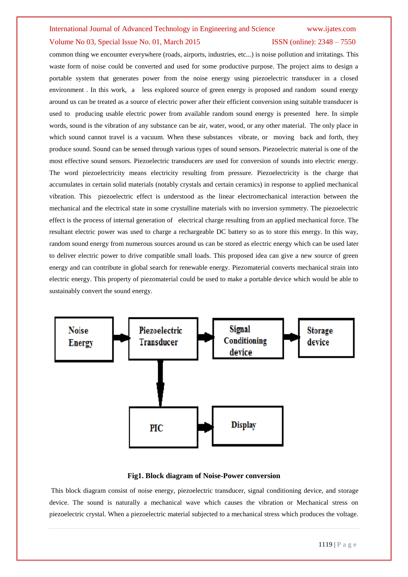#### International Journal of Advanced Technology in Engineering and Science www.ijates.com

#### Volume No 03, Special Issue No. 01, March 2015 **ISSN** (online): 2348 – 7550

common thing we encounter everywhere (roads, airports, industries, etc...) is noise pollution and irritatings. This waste form of noise could be converted and used for some productive purpose. The project aims to design a portable system that generates power from the noise energy using piezoelectric transducer in a closed environment . In this work, a less explored source of green energy is proposed and random sound energy around us can be treated as a source of electric power after their efficient conversion using suitable transducer is used to producing usable electric power from available random sound energy is presented here. In simple words, sound is the vibration of any substance can be air, water, wood, or any other material. The only place in which sound cannot travel is a vacuum. When these substances vibrate, or moving back and forth, they produce sound. Sound can be sensed through various types of sound sensors. Piezoelectric material is one of the most effective sound sensors. Piezoelectric transducers are used for conversion of sounds into electric energy. The word piezoelectricity means electricity resulting from pressure. Piezoelectricity is the charge that accumulates in certain solid materials (notably crystals and certain ceramics) in response to applied mechanical vibration. This piezoelectric effect is understood as the linear electromechanical interaction between the mechanical and the electrical state in some crystalline materials with no inversion symmetry. The piezoelectric effect is the process of internal generation of electrical charge resulting from an applied mechanical force. The resultant electric power was used to charge a rechargeable DC battery so as to store this energy. In this way, random sound energy from numerous sources around us can be stored as electric energy which can be used later to deliver electric power to drive compatible small loads. This proposed idea can give a new source of green energy and can contribute in global search for renewable energy. Piezomaterial converts mechanical strain into electric energy. This property of piezomaterial could be used to make a portable device which would be able to sustainably convert the sound energy.



#### **Fig1. Block diagram of Noise-Power conversion**

This block diagram consist of noise energy, piezoelectric transducer, signal conditioning device, and storage device. The sound is naturally a mechanical wave which causes the vibration or Mechanical stress on piezoelectric crystal. When a piezoelectric material subjected to a mechanical stress which produces the voltage.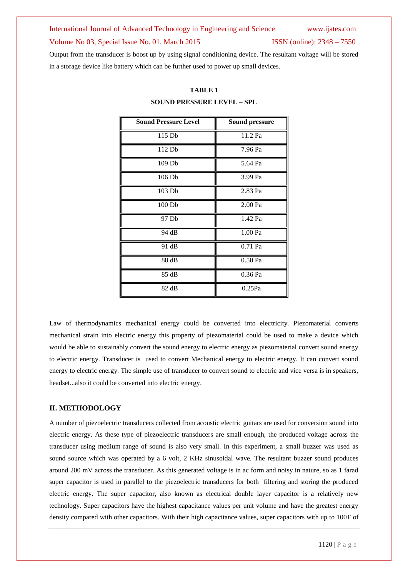# International Journal of Advanced Technology in Engineering and Science www.ijates.com Volume No 03, Special Issue No. 01, March 2015 ISSN (online): 2348 – 7550

Output from the transducer is boost up by using signal conditioning device. The resultant voltage will be stored in a storage device like battery which can be further used to power up small devices.

| <b>Sound Pressure Level</b> | <b>Sound pressure</b> |
|-----------------------------|-----------------------|
| 115 Db                      | 11.2 Pa               |
| 112 Db                      | 7.96 Pa               |
| 109 <sub>Db</sub>           | 5.64 Pa               |
| 106 Db                      | 3.99 Pa               |
| 103 Db                      | 2.83 Pa               |
| 100 <sub>Db</sub>           | 2.00 Pa               |
| 97 Db                       | 1.42 Pa               |
| 94 dB                       | 1.00 Pa               |
| 91 dB                       | 0.71 Pa               |
| 88 dB                       | 0.50 Pa               |
| 85 dB                       | 0.36 Pa               |
| 82 dB                       | 0.25Pa                |

### **TABLE 1**

#### **SOUND PRESSURE LEVEL – SPL**

Law of thermodynamics mechanical energy could be converted into electricity. Piezomaterial converts mechanical strain into electric energy this property of piezomaterial could be used to make a device which would be able to sustainably convert the sound energy to electric energy as piezomaterial convert sound energy to electric energy. Transducer is used to convert Mechanical energy to electric energy. It can convert sound energy to electric energy. The simple use of transducer to convert sound to electric and vice versa is in speakers, headset...also it could be converted into electric energy.

#### **II. METHODOLOGY**

A number of piezoelectric transducers collected from acoustic electric guitars are used for conversion sound into electric energy. As these type of piezoelectric transducers are small enough, the produced voltage across the transducer using medium range of sound is also very small. In this experiment, a small buzzer was used as sound source which was operated by a 6 volt, 2 KHz sinusoidal wave. The resultant buzzer sound produces around 200 mV across the transducer. As this generated voltage is in ac form and noisy in nature, so as 1 farad super capacitor is used in parallel to the piezoelectric transducers for both filtering and storing the produced electric energy. The super capacitor, also known as electrical double layer capacitor is a relatively new technology. Super capacitors have the highest capacitance values per unit volume and have the greatest energy density compared with other capacitors. With their high capacitance values, super capacitors with up to 100F of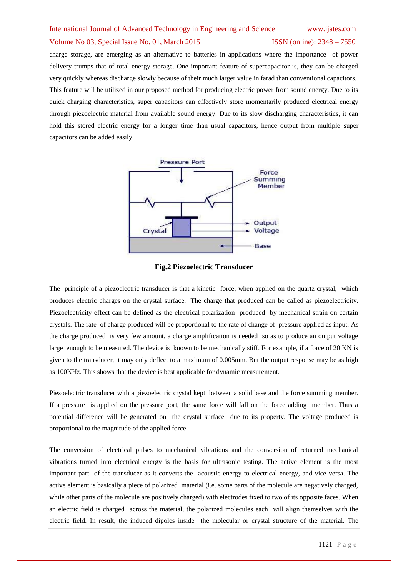## International Journal of Advanced Technology in Engineering and Science www.ijates.com Volume No 03, Special Issue No. 01, March 2015 ISSN (online): 2348 – 7550

charge storage, are emerging as an alternative to batteries in applications where the importance of power delivery trumps that of total energy storage. One important feature of supercapacitor is, they can be charged very quickly whereas discharge slowly because of their much larger value in farad than conventional capacitors. This feature will be utilized in our proposed method for producing electric power from sound energy. Due to its quick charging characteristics, super capacitors can effectively store momentarily produced electrical energy through piezoelectric material from available sound energy. Due to its slow discharging characteristics, it can hold this stored electric energy for a longer time than usual capacitors, hence output from multiple super capacitors can be added easily.





The principle of a piezoelectric transducer is that a kinetic force, when applied on the quartz crystal, which produces electric charges on the crystal surface. The charge that produced can be called as piezoelectricity. Piezoelectricity effect can be defined as the electrical polarization produced by mechanical strain on certain crystals. The rate of charge produced will be proportional to the rate of change of pressure applied as input. As the charge produced is very few amount, a charge amplification is needed so as to produce an output voltage large enough to be measured. The device is known to be mechanically stiff. For example, if a force of 20 KN is given to the transducer, it may only deflect to a maximum of 0.005mm. But the output response may be as high as 100KHz. This shows that the device is best applicable for dynamic measurement.

Piezoelectric transducer with a piezoelectric crystal kept between a solid base and the force summing member. If a pressure is applied on the pressure port, the same force will fall on the force adding member. Thus a potential difference will be generated on the crystal surface due to its property. The voltage produced is proportional to the magnitude of the applied force.

The conversion of electrical pulses to mechanical vibrations and the conversion of returned mechanical vibrations turned into electrical energy is the basis for ultrasonic testing. The active element is the most important part of the transducer as it converts the acoustic energy to electrical energy, and vice versa. The active element is basically a piece of polarized material (i.e. some parts of the molecule are negatively charged, while other parts of the molecule are positively charged) with electrodes fixed to two of its opposite faces. When an electric field is charged across the material, the polarized molecules each will align themselves with the electric field. In result, the induced dipoles inside the molecular or crystal structure of the material. The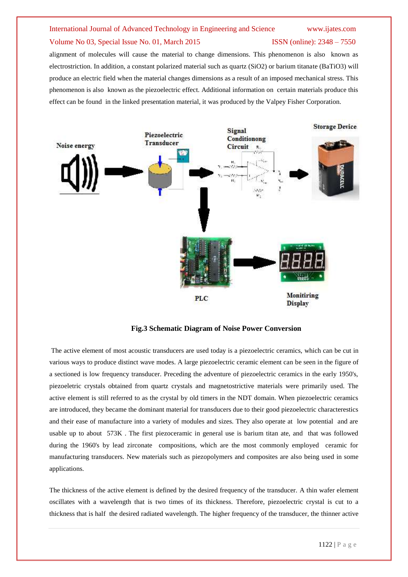# International Journal of Advanced Technology in Engineering and Science www.ijates.com

### Volume No 03, Special Issue No. 01, March 2015 **ISSN** (online): 2348 – 7550

alignment of molecules will cause the material to change dimensions. This phenomenon is also known as electrostriction. In addition, a constant polarized material such as quartz (SiO2) or barium titanate (BaTiO3) will produce an electric field when the material changes dimensions as a result of an imposed mechanical stress. This phenomenon is also known as the piezoelectric effect. Additional information on certain materials produce this effect can be found in the linked presentation material, it was produced by the Valpey Fisher Corporation.



**Fig.3 Schematic Diagram of Noise Power Conversion**

The active element of most acoustic transducers are used today is a [piezoelectric](javascript:;) ceramics, which can be cut in various ways to produce distinct wave modes. A large piezoelectric ceramic element can be seen in the figure of a sectioned is low frequency transducer. Preceding the adventure of piezoelectric ceramics in the early 1950's, piezoeletric crystals obtained from quartz crystals and [magnetostrictive](javascript:;) materials were primarily used. The active element is still referred to as the crystal by old timers in the NDT domain. When piezoelectric ceramics are introduced, they became the dominant material for transducers due to their good piezoelectric characterestics and their ease of manufacture into a variety of modules and sizes. They also operate at low potential and are usable up to about 573K . The first piezoceramic in general use is barium titan ate, and that was followed during the 1960's by lead zirconate compositions, which are the most commonly employed ceramic for manufacturing transducers. New materials such as piezopolymers and composites are also being used in some applications.

The thickness of the active element is defined by the desired frequency of the transducer. A thin wafer element oscillates with a wavelength that is two times of its thickness. Therefore, piezoelectric crystal is cut to a thickness that is half the desired radiated wavelength. The higher frequency of the transducer, the thinner active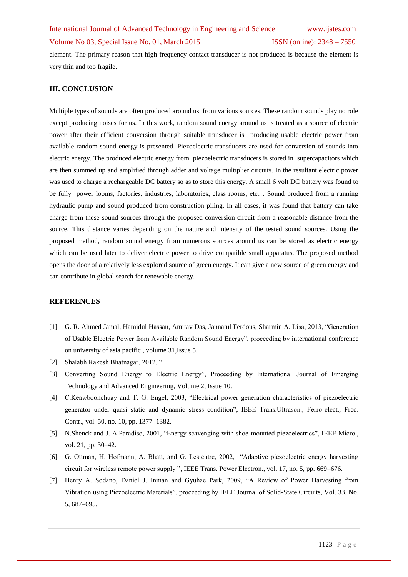## International Journal of Advanced Technology in Engineering and Science www.ijates.com Volume No 03, Special Issue No. 01, March 2015 ISSN (online): 2348 – 7550

element. The primary reason that high frequency contact transducer is not produced is because the element is very thin and too fragile.

### **III. CONCLUSION**

Multiple types of sounds are often produced around us from various sources. These random sounds play no role except producing noises for us. In this work, random sound energy around us is treated as a source of electric power after their efficient conversion through suitable transducer is producing usable electric power from available random sound energy is presented. Piezoelectric transducers are used for conversion of sounds into electric energy. The produced electric energy from piezoelectric transducers is stored in supercapacitors which are then summed up and amplified through adder and voltage multiplier circuits. In the resultant electric power was used to charge a rechargeable DC battery so as to store this energy. A small 6 volt DC battery was found to be fully power looms, factories, industries, laboratories, class rooms, etc… Sound produced from a running hydraulic pump and sound produced from construction piling. In all cases, it was found that battery can take charge from these sound sources through the proposed conversion circuit from a reasonable distance from the source. This distance varies depending on the nature and intensity of the tested sound sources. Using the proposed method, random sound energy from numerous sources around us can be stored as electric energy which can be used later to deliver electric power to drive compatible small apparatus. The proposed method opens the door of a relatively less explored source of green energy. It can give a new source of green energy and can contribute in global search for renewable energy.

#### **REFERENCES**

- [1] G. R. Ahmed Jamal, Hamidul Hassan, Amitav Das, Jannatul Ferdous, Sharmin A. Lisa, 2013, "Generation of Usable Electric Power from Available Random Sound Energy", proceeding by international conference on university of asia pacific , volume 31,Issue 5.
- [2] Shalabh Rakesh Bhatnagar, 2012, "
- [3] Converting Sound Energy to Electric Energy", Proceeding by International Journal of Emerging Technology and Advanced Engineering, Volume 2, Issue 10.
- [4] C.Keawboonchuay and T. G. Engel, 2003, "Electrical power generation characteristics of piezoelectric generator under quasi static and dynamic stress condition", IEEE Trans.Ultrason., Ferro-elect., Freq. Contr., vol. 50, no. 10, pp. 1377–1382.
- [5] N.Shenck and J. A.Paradiso, 2001, "Energy scavenging with shoe-mounted piezoelectrics", IEEE Micro., vol. 21, pp. 30–42.
- [6] G. Ottman, H. Hofmann, A. Bhatt, and G. Lesieutre, 2002, "Adaptive piezoelectric energy harvesting circuit for wireless remote power supply ", IEEE Trans. Power Electron., vol. 17, no. 5, pp. 669–676.
- [7] Henry A. Sodano, Daniel J. Inman and Gyuhae Park, 2009, "A Review of Power Harvesting from Vibration using Piezoelectric Materials", proceeding by IEEE Journal of Solid-State Circuits, Vol. 33, No. 5, 687–695.